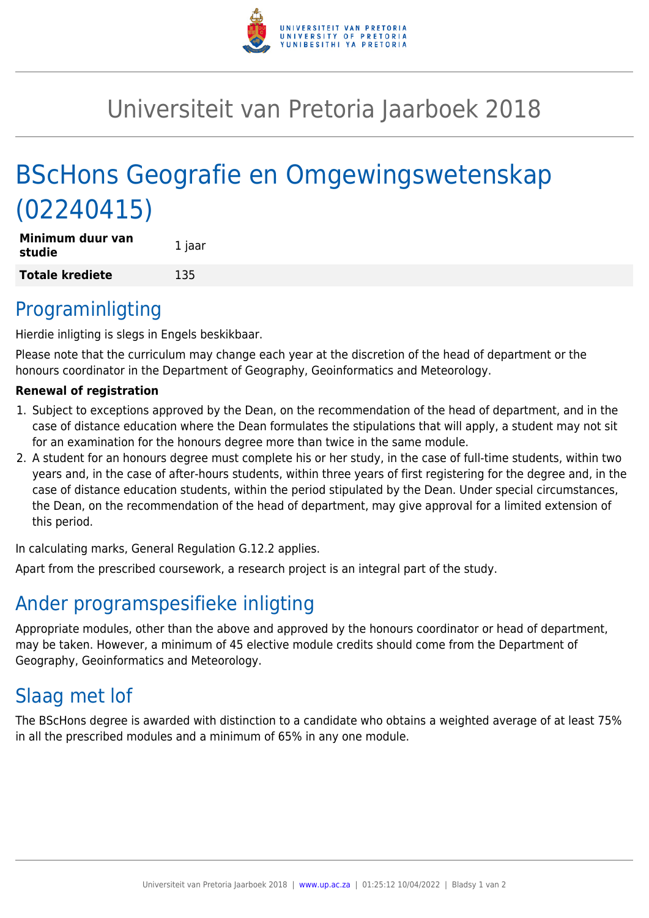

# Universiteit van Pretoria Jaarboek 2018

# BScHons Geografie en Omgewingswetenskap (02240415)

| Minimum duur van<br>studie | 1 jaar |
|----------------------------|--------|
| <b>Totale krediete</b>     | 135    |

### Programinligting

Hierdie inligting is slegs in Engels beskikbaar.

Please note that the curriculum may change each year at the discretion of the head of department or the honours coordinator in the Department of Geography, Geoinformatics and Meteorology.

#### **Renewal of registration**

- 1. Subject to exceptions approved by the Dean, on the recommendation of the head of department, and in the case of distance education where the Dean formulates the stipulations that will apply, a student may not sit for an examination for the honours degree more than twice in the same module.
- 2. A student for an honours degree must complete his or her study, in the case of full-time students, within two years and, in the case of after-hours students, within three years of first registering for the degree and, in the case of distance education students, within the period stipulated by the Dean. Under special circumstances, the Dean, on the recommendation of the head of department, may give approval for a limited extension of this period.

In calculating marks, General Regulation G.12.2 applies.

Apart from the prescribed coursework, a research project is an integral part of the study.

# Ander programspesifieke inligting

Appropriate modules, other than the above and approved by the honours coordinator or head of department, may be taken. However, a minimum of 45 elective module credits should come from the Department of Geography, Geoinformatics and Meteorology.

# Slaag met lof

The BScHons degree is awarded with distinction to a candidate who obtains a weighted average of at least 75% in all the prescribed modules and a minimum of 65% in any one module.